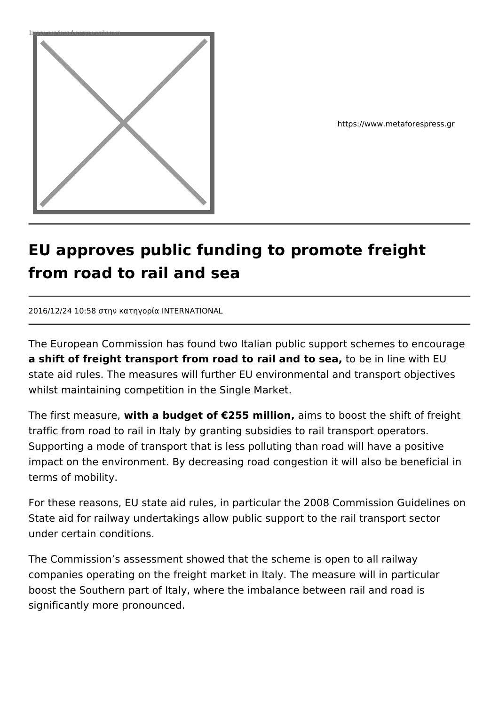

https://www.metaforespress.gr

## **EU approves public funding to promote freight from road to rail and sea**

2016/12/24 10:58 στην κατηγορία INTERNATIONAL

The European Commission has found two Italian public support schemes to encourage **a shift of freight transport from road to rail and to sea,** to be in line with EU state aid rules. The measures will further EU environmental and transport objectives whilst maintaining competition in the Single Market.

The first measure, **with a budget of €255 million,** aims to boost the shift of freight traffic from road to rail in Italy by granting subsidies to rail transport operators. Supporting a mode of transport that is less polluting than road will have a positive impact on the environment. By decreasing road congestion it will also be beneficial in terms of mobility.

For these reasons, EU state aid rules, in particular the 2008 Commission Guidelines on State aid for railway undertakings allow public support to the rail transport sector under certain conditions.

The Commission's assessment showed that the scheme is open to all railway companies operating on the freight market in Italy. The measure will in particular boost the Southern part of Italy, where the imbalance between rail and road is significantly more pronounced.